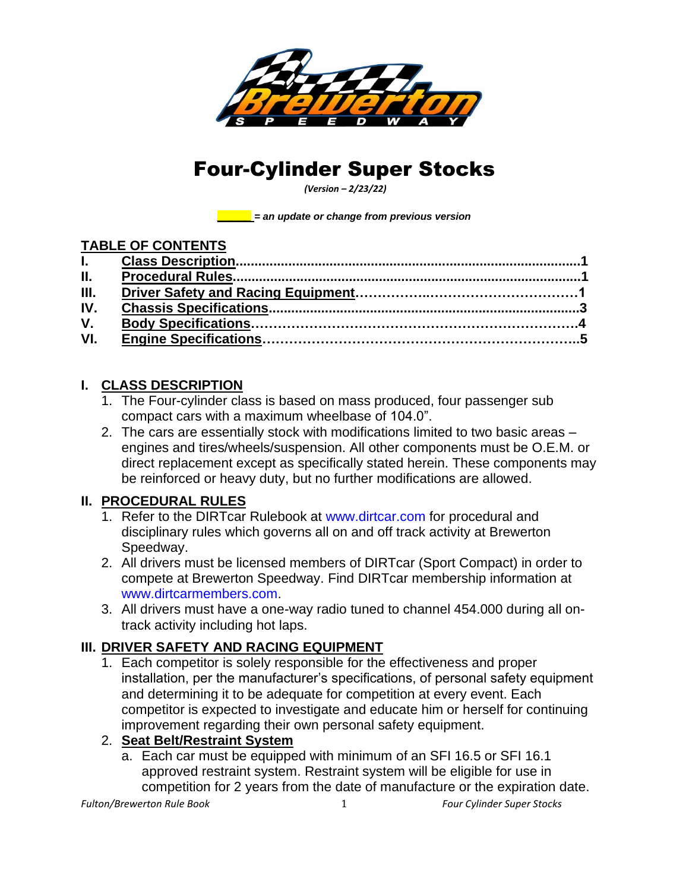

# Four-Cylinder Super Stocks

*(Version – 2/23/22)*

*\_\_\_\_\_\_ = an update or change from previous version*

#### **TABLE OF CONTENTS**

| $\Pi$ . |  |
|---------|--|
| III.    |  |
| IV.     |  |
| V.      |  |
| VI.     |  |

## **I. CLASS DESCRIPTION**

- 1. The Four-cylinder class is based on mass produced, four passenger sub compact cars with a maximum wheelbase of 104.0".
- 2. The cars are essentially stock with modifications limited to two basic areas engines and tires/wheels/suspension. All other components must be O.E.M. or direct replacement except as specifically stated herein. These components may be reinforced or heavy duty, but no further modifications are allowed.

## **II. PROCEDURAL RULES**

- 1. Refer to the DIRTcar Rulebook at [www.dirtcar.com](http://www.dirtcar.com/) for procedural and disciplinary rules which governs all on and off track activity at Brewerton Speedway.
- 2. All drivers must be licensed members of DIRTcar (Sport Compact) in order to compete at Brewerton Speedway. Find DIRTcar membership information at [www.dirtcarmembers.com.](http://www.dirtcarmembers.com/)
- 3. All drivers must have a one-way radio tuned to channel 454.000 during all ontrack activity including hot laps.

## **III. DRIVER SAFETY AND RACING EQUIPMENT**

1. Each competitor is solely responsible for the effectiveness and proper installation, per the manufacturer's specifications, of personal safety equipment and determining it to be adequate for competition at every event. Each competitor is expected to investigate and educate him or herself for continuing improvement regarding their own personal safety equipment.

#### 2. **Seat Belt/Restraint System**

a. Each car must be equipped with minimum of an SFI 16.5 or SFI 16.1 approved restraint system. Restraint system will be eligible for use in competition for 2 years from the date of manufacture or the expiration date.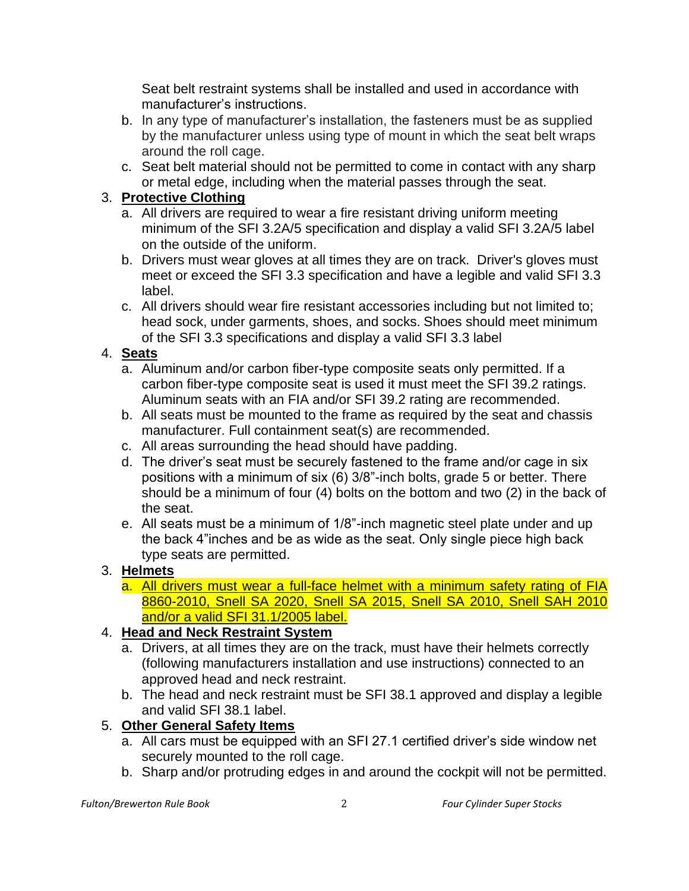Seat belt restraint systems shall be installed and used in accordance with manufacturer's instructions.

- b. In any type of manufacturer's installation, the fasteners must be as supplied by the manufacturer unless using type of mount in which the seat belt wraps around the roll cage.
- c. Seat belt material should not be permitted to come in contact with any sharp or metal edge, including when the material passes through the seat.

### 3. **Protective Clothing**

- a. All drivers are required to wear a fire resistant driving uniform meeting minimum of the SFI 3.2A/5 specification and display a valid SFI 3.2A/5 label on the outside of the uniform.
- b. Drivers must wear gloves at all times they are on track. Driver's gloves must meet or exceed the SFI 3.3 specification and have a legible and valid SFI 3.3 label.
- c. All drivers should wear fire resistant accessories including but not limited to; head sock, under garments, shoes, and socks. Shoes should meet minimum of the SFI 3.3 specifications and display a valid SFI 3.3 label

#### 4. **Seats**

- a. Aluminum and/or carbon fiber-type composite seats only permitted. If a carbon fiber-type composite seat is used it must meet the SFI 39.2 ratings. Aluminum seats with an FIA and/or SFI 39.2 rating are recommended.
- b. All seats must be mounted to the frame as required by the seat and chassis manufacturer. Full containment seat(s) are recommended.
- c. All areas surrounding the head should have padding.
- d. The driver's seat must be securely fastened to the frame and/or cage in six positions with a minimum of six (6) 3/8"-inch bolts, grade 5 or better. There should be a minimum of four (4) bolts on the bottom and two (2) in the back of the seat.
- e. All seats must be a minimum of 1/8"-inch magnetic steel plate under and up the back 4"inches and be as wide as the seat. Only single piece high back type seats are permitted.

## 3. **Helmets**

a. All drivers must wear a full-face helmet with a minimum safety rating of FIA 8860-2010, Snell SA 2020, Snell SA 2015, Snell SA 2010, Snell SAH 2010 and/or a valid SFI 31.1/2005 label.

## 4. **Head and Neck Restraint System**

- a. Drivers, at all times they are on the track, must have their helmets correctly (following manufacturers installation and use instructions) connected to an approved head and neck restraint.
- b. The head and neck restraint must be SFI 38.1 approved and display a legible and valid SFI 38.1 label.

#### 5. **Other General Safety Items**

- a. All cars must be equipped with an SFI 27.1 certified driver's side window net securely mounted to the roll cage.
- b. Sharp and/or protruding edges in and around the cockpit will not be permitted.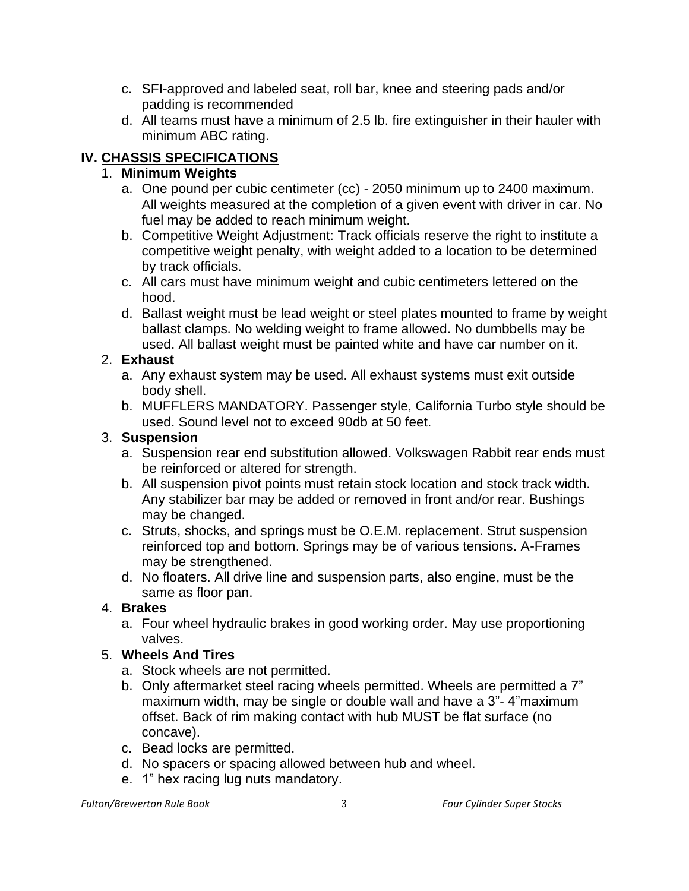- c. SFI-approved and labeled seat, roll bar, knee and steering pads and/or padding is recommended
- d. All teams must have a minimum of 2.5 lb. fire extinguisher in their hauler with minimum ABC rating.

# **IV. CHASSIS SPECIFICATIONS**

### 1. **Minimum Weights**

- a. One pound per cubic centimeter (cc) 2050 minimum up to 2400 maximum. All weights measured at the completion of a given event with driver in car. No fuel may be added to reach minimum weight.
- b. Competitive Weight Adjustment: Track officials reserve the right to institute a competitive weight penalty, with weight added to a location to be determined by track officials.
- c. All cars must have minimum weight and cubic centimeters lettered on the hood.
- d. Ballast weight must be lead weight or steel plates mounted to frame by weight ballast clamps. No welding weight to frame allowed. No dumbbells may be used. All ballast weight must be painted white and have car number on it.

#### 2. **Exhaust**

- a. Any exhaust system may be used. All exhaust systems must exit outside body shell.
- b. MUFFLERS MANDATORY. Passenger style, California Turbo style should be used. Sound level not to exceed 90db at 50 feet.

#### 3. **Suspension**

- a. Suspension rear end substitution allowed. Volkswagen Rabbit rear ends must be reinforced or altered for strength.
- b. All suspension pivot points must retain stock location and stock track width. Any stabilizer bar may be added or removed in front and/or rear. Bushings may be changed.
- c. Struts, shocks, and springs must be O.E.M. replacement. Strut suspension reinforced top and bottom. Springs may be of various tensions. A-Frames may be strengthened.
- d. No floaters. All drive line and suspension parts, also engine, must be the same as floor pan.

## 4. **Brakes**

a. Four wheel hydraulic brakes in good working order. May use proportioning valves.

## 5. **Wheels And Tires**

- a. Stock wheels are not permitted.
- b. Only aftermarket steel racing wheels permitted. Wheels are permitted a 7" maximum width, may be single or double wall and have a 3"- 4"maximum offset. Back of rim making contact with hub MUST be flat surface (no concave).
- c. Bead locks are permitted.
- d. No spacers or spacing allowed between hub and wheel.
- e. 1" hex racing lug nuts mandatory.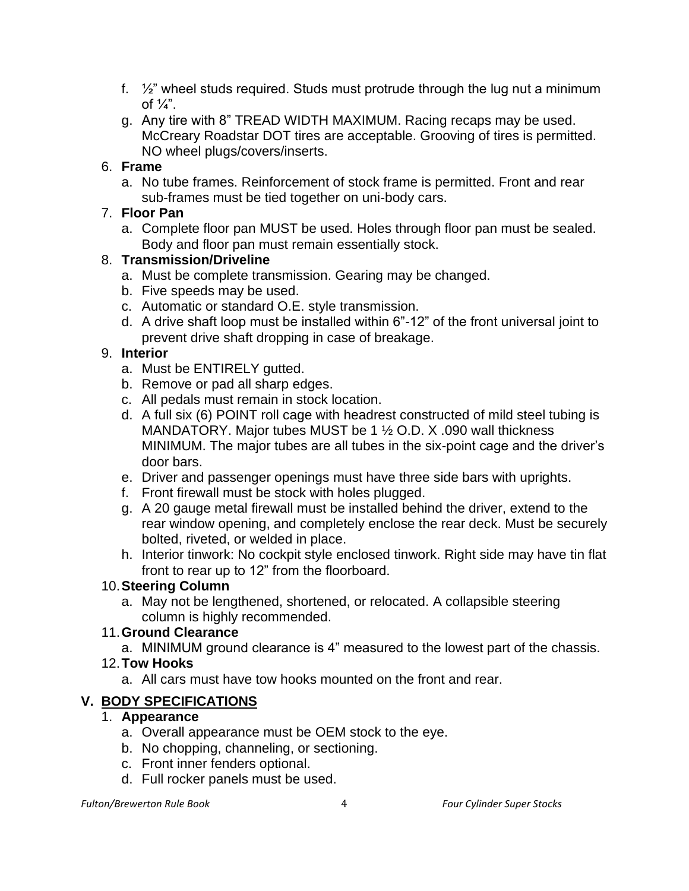- f.  $\frac{1}{2}$  wheel studs required. Studs must protrude through the lug nut a minimum of  $\frac{1}{4}$ ".
- g. Any tire with 8" TREAD WIDTH MAXIMUM. Racing recaps may be used. McCreary Roadstar DOT tires are acceptable. Grooving of tires is permitted. NO wheel plugs/covers/inserts.

#### 6. **Frame**

a. No tube frames. Reinforcement of stock frame is permitted. Front and rear sub-frames must be tied together on uni-body cars.

#### 7. **Floor Pan**

a. Complete floor pan MUST be used. Holes through floor pan must be sealed. Body and floor pan must remain essentially stock.

#### 8. **Transmission/Driveline**

- a. Must be complete transmission. Gearing may be changed.
- b. Five speeds may be used.
- c. Automatic or standard O.E. style transmission.
- d. A drive shaft loop must be installed within 6"-12" of the front universal joint to prevent drive shaft dropping in case of breakage.

#### 9. **Interior**

- a. Must be ENTIRELY gutted.
- b. Remove or pad all sharp edges.
- c. All pedals must remain in stock location.
- d. A full six (6) POINT roll cage with headrest constructed of mild steel tubing is MANDATORY. Major tubes MUST be 1 ½ O.D. X .090 wall thickness MINIMUM. The major tubes are all tubes in the six-point cage and the driver's door bars.
- e. Driver and passenger openings must have three side bars with uprights.
- f. Front firewall must be stock with holes plugged.
- g. A 20 gauge metal firewall must be installed behind the driver, extend to the rear window opening, and completely enclose the rear deck. Must be securely bolted, riveted, or welded in place.
- h. Interior tinwork: No cockpit style enclosed tinwork. Right side may have tin flat front to rear up to 12" from the floorboard.

## 10.**Steering Column**

a. May not be lengthened, shortened, or relocated. A collapsible steering column is highly recommended.

## 11.**Ground Clearance**

a. MINIMUM ground clearance is 4" measured to the lowest part of the chassis.

## 12.**Tow Hooks**

a. All cars must have tow hooks mounted on the front and rear.

# **V. BODY SPECIFICATIONS**

#### 1. **Appearance**

- a. Overall appearance must be OEM stock to the eye.
- b. No chopping, channeling, or sectioning.
- c. Front inner fenders optional.
- d. Full rocker panels must be used.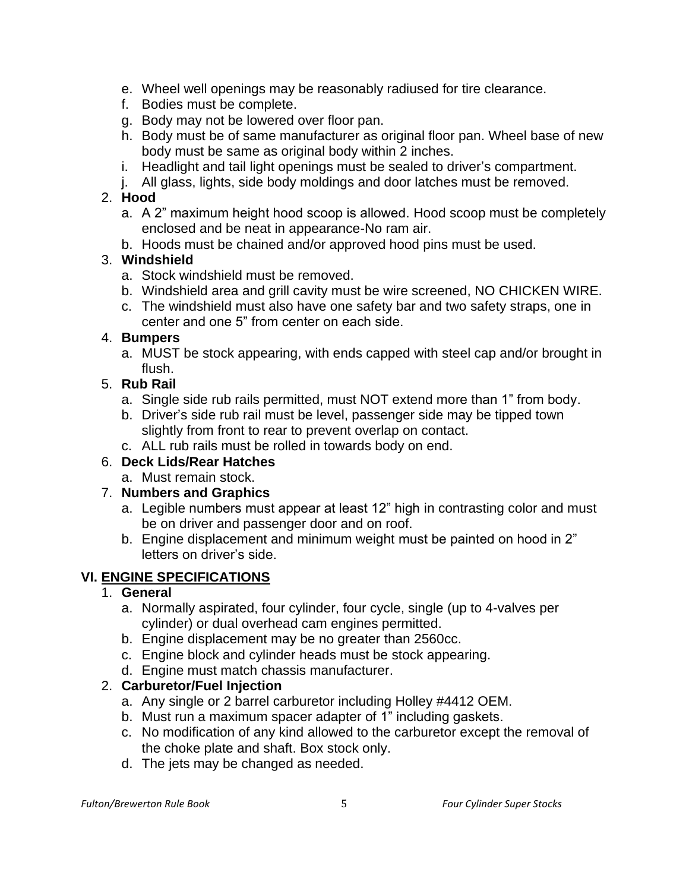- e. Wheel well openings may be reasonably radiused for tire clearance.
- f. Bodies must be complete.
- g. Body may not be lowered over floor pan.
- h. Body must be of same manufacturer as original floor pan. Wheel base of new body must be same as original body within 2 inches.
- i. Headlight and tail light openings must be sealed to driver's compartment.
- j. All glass, lights, side body moldings and door latches must be removed.

#### 2. **Hood**

- a. A 2" maximum height hood scoop is allowed. Hood scoop must be completely enclosed and be neat in appearance-No ram air.
- b. Hoods must be chained and/or approved hood pins must be used.

# 3. **Windshield**

- a. Stock windshield must be removed.
- b. Windshield area and grill cavity must be wire screened, NO CHICKEN WIRE.
- c. The windshield must also have one safety bar and two safety straps, one in center and one 5" from center on each side.

## 4. **Bumpers**

a. MUST be stock appearing, with ends capped with steel cap and/or brought in flush.

# 5. **Rub Rail**

- a. Single side rub rails permitted, must NOT extend more than 1" from body.
- b. Driver's side rub rail must be level, passenger side may be tipped town slightly from front to rear to prevent overlap on contact.
- c. ALL rub rails must be rolled in towards body on end.

## 6. **Deck Lids/Rear Hatches**

a. Must remain stock.

## 7. **Numbers and Graphics**

- a. Legible numbers must appear at least 12" high in contrasting color and must be on driver and passenger door and on roof.
- b. Engine displacement and minimum weight must be painted on hood in 2" letters on driver's side.

## **VI. ENGINE SPECIFICATIONS**

## 1. **General**

- a. Normally aspirated, four cylinder, four cycle, single (up to 4-valves per cylinder) or dual overhead cam engines permitted.
- b. Engine displacement may be no greater than 2560cc.
- c. Engine block and cylinder heads must be stock appearing.
- d. Engine must match chassis manufacturer.

## 2. **Carburetor/Fuel Injection**

- a. Any single or 2 barrel carburetor including Holley #4412 OEM.
- b. Must run a maximum spacer adapter of 1" including gaskets.
- c. No modification of any kind allowed to the carburetor except the removal of the choke plate and shaft. Box stock only.
- d. The jets may be changed as needed.